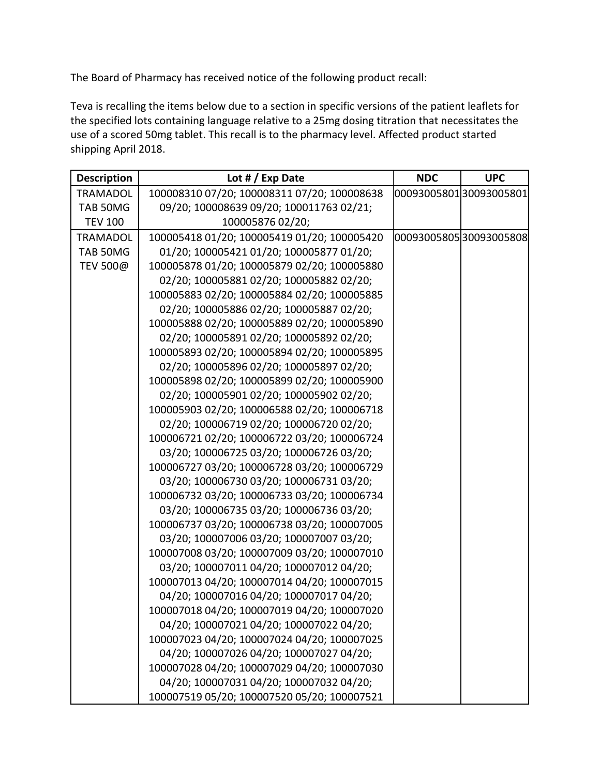The Board of Pharmacy has received notice of the following product recall:

 Teva is recalling the items below due to a section in specific versions of the patient leaflets for shipping April 2018. the specified lots containing language relative to a 25mg dosing titration that necessitates the use of a scored 50mg tablet. This recall is to the pharmacy level. Affected product started

| <b>Description</b> | Lot $\#$ / Exp Date                         | <b>NDC</b> | <b>UPC</b>             |
|--------------------|---------------------------------------------|------------|------------------------|
| <b>TRAMADOL</b>    | 100008310 07/20; 100008311 07/20; 100008638 |            | 0009300580130093005801 |
| TAB 50MG           | 09/20; 100008639 09/20; 100011763 02/21;    |            |                        |
| <b>TEV 100</b>     | 100005876 02/20;                            |            |                        |
| <b>TRAMADOL</b>    | 100005418 01/20; 100005419 01/20; 100005420 |            | 0009300580530093005808 |
| TAB 50MG           | 01/20; 100005421 01/20; 100005877 01/20;    |            |                        |
| TEV 500@           | 100005878 01/20; 100005879 02/20; 100005880 |            |                        |
|                    | 02/20; 100005881 02/20; 100005882 02/20;    |            |                        |
|                    | 100005883 02/20; 100005884 02/20; 100005885 |            |                        |
|                    | 02/20; 100005886 02/20; 100005887 02/20;    |            |                        |
|                    | 100005888 02/20; 100005889 02/20; 100005890 |            |                        |
|                    | 02/20; 100005891 02/20; 100005892 02/20;    |            |                        |
|                    | 100005893 02/20; 100005894 02/20; 100005895 |            |                        |
|                    | 02/20; 100005896 02/20; 100005897 02/20;    |            |                        |
|                    | 100005898 02/20; 100005899 02/20; 100005900 |            |                        |
|                    | 02/20; 100005901 02/20; 100005902 02/20;    |            |                        |
|                    | 100005903 02/20; 100006588 02/20; 100006718 |            |                        |
|                    | 02/20; 100006719 02/20; 100006720 02/20;    |            |                        |
|                    | 100006721 02/20; 100006722 03/20; 100006724 |            |                        |
|                    | 03/20; 100006725 03/20; 100006726 03/20;    |            |                        |
|                    | 100006727 03/20; 100006728 03/20; 100006729 |            |                        |
|                    | 03/20; 100006730 03/20; 100006731 03/20;    |            |                        |
|                    | 100006732 03/20; 100006733 03/20; 100006734 |            |                        |
|                    | 03/20; 100006735 03/20; 100006736 03/20;    |            |                        |
|                    | 100006737 03/20; 100006738 03/20; 100007005 |            |                        |
|                    | 03/20; 100007006 03/20; 100007007 03/20;    |            |                        |
|                    | 100007008 03/20; 100007009 03/20; 100007010 |            |                        |
|                    | 03/20; 100007011 04/20; 100007012 04/20;    |            |                        |
|                    | 100007013 04/20; 100007014 04/20; 100007015 |            |                        |
|                    | 04/20; 100007016 04/20; 100007017 04/20;    |            |                        |
|                    | 100007018 04/20; 100007019 04/20; 100007020 |            |                        |
|                    | 04/20; 100007021 04/20; 100007022 04/20;    |            |                        |
|                    | 100007023 04/20; 100007024 04/20; 100007025 |            |                        |
|                    | 04/20; 100007026 04/20; 100007027 04/20;    |            |                        |
|                    | 100007028 04/20; 100007029 04/20; 100007030 |            |                        |
|                    | 04/20; 100007031 04/20; 100007032 04/20;    |            |                        |
|                    | 100007519 05/20; 100007520 05/20; 100007521 |            |                        |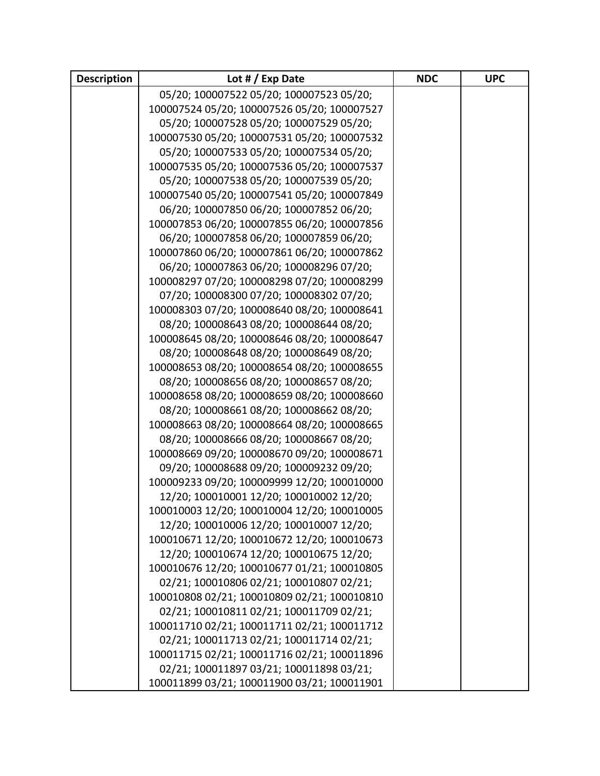| <b>Description</b> | Lot # / $Exp$ Date                          | <b>NDC</b> | <b>UPC</b> |
|--------------------|---------------------------------------------|------------|------------|
|                    | 05/20; 100007522 05/20; 100007523 05/20;    |            |            |
|                    | 100007524 05/20; 100007526 05/20; 100007527 |            |            |
|                    | 05/20; 100007528 05/20; 100007529 05/20;    |            |            |
|                    | 100007530 05/20; 100007531 05/20; 100007532 |            |            |
|                    | 05/20; 100007533 05/20; 100007534 05/20;    |            |            |
|                    | 100007535 05/20; 100007536 05/20; 100007537 |            |            |
|                    | 05/20; 100007538 05/20; 100007539 05/20;    |            |            |
|                    | 100007540 05/20; 100007541 05/20; 100007849 |            |            |
|                    | 06/20; 100007850 06/20; 100007852 06/20;    |            |            |
|                    | 100007853 06/20; 100007855 06/20; 100007856 |            |            |
|                    | 06/20; 100007858 06/20; 100007859 06/20;    |            |            |
|                    | 100007860 06/20; 100007861 06/20; 100007862 |            |            |
|                    | 06/20; 100007863 06/20; 100008296 07/20;    |            |            |
|                    | 100008297 07/20; 100008298 07/20; 100008299 |            |            |
|                    | 07/20; 100008300 07/20; 100008302 07/20;    |            |            |
|                    | 100008303 07/20; 100008640 08/20; 100008641 |            |            |
|                    | 08/20; 100008643 08/20; 100008644 08/20;    |            |            |
|                    | 100008645 08/20; 100008646 08/20; 100008647 |            |            |
|                    | 08/20; 100008648 08/20; 100008649 08/20;    |            |            |
|                    | 100008653 08/20; 100008654 08/20; 100008655 |            |            |
|                    | 08/20; 100008656 08/20; 100008657 08/20;    |            |            |
|                    | 100008658 08/20; 100008659 08/20; 100008660 |            |            |
|                    | 08/20; 100008661 08/20; 100008662 08/20;    |            |            |
|                    | 100008663 08/20; 100008664 08/20; 100008665 |            |            |
|                    | 08/20; 100008666 08/20; 100008667 08/20;    |            |            |
|                    | 100008669 09/20; 100008670 09/20; 100008671 |            |            |
|                    | 09/20; 100008688 09/20; 100009232 09/20;    |            |            |
|                    | 100009233 09/20; 100009999 12/20; 100010000 |            |            |
|                    | 12/20; 100010001 12/20; 100010002 12/20;    |            |            |
|                    | 100010003 12/20; 100010004 12/20; 100010005 |            |            |
|                    | 12/20; 100010006 12/20; 100010007 12/20;    |            |            |
|                    | 100010671 12/20; 100010672 12/20; 100010673 |            |            |
|                    | 12/20; 100010674 12/20; 100010675 12/20;    |            |            |
|                    | 100010676 12/20; 100010677 01/21; 100010805 |            |            |
|                    | 02/21; 100010806 02/21; 100010807 02/21;    |            |            |
|                    | 100010808 02/21; 100010809 02/21; 100010810 |            |            |
|                    | 02/21; 100010811 02/21; 100011709 02/21;    |            |            |
|                    | 100011710 02/21; 100011711 02/21; 100011712 |            |            |
|                    | 02/21; 100011713 02/21; 100011714 02/21;    |            |            |
|                    | 100011715 02/21; 100011716 02/21; 100011896 |            |            |
|                    | 02/21; 100011897 03/21; 100011898 03/21;    |            |            |
|                    | 100011899 03/21; 100011900 03/21; 100011901 |            |            |